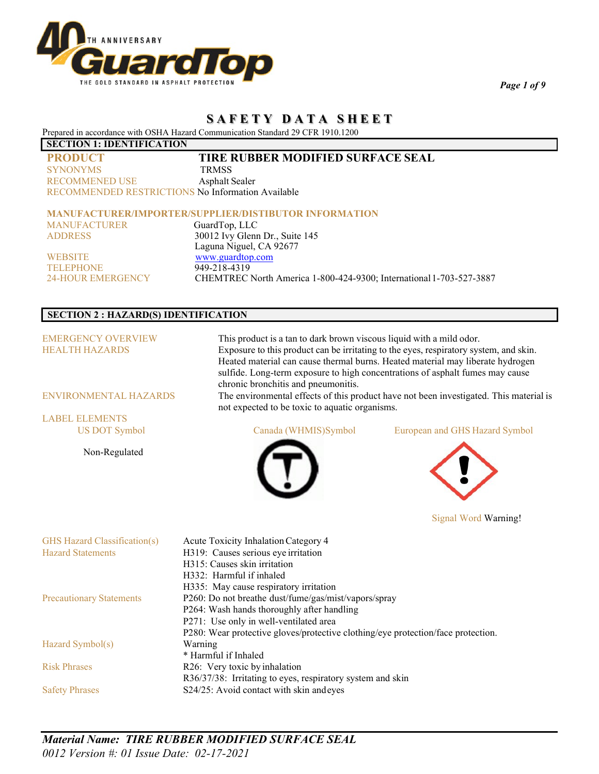

*Page 1 of 9*

# **S A F E T Y D A T A S H E E T**

Prepared in accordance with OSHA Hazard Communication Standard 29 CFR 1910.1200

## **SECTION 1: IDENTIFICATION**

| <b>PRODUCT</b>                                           | <b>TIRE RUBBER MODIFIED SURFACE SEAL</b> |
|----------------------------------------------------------|------------------------------------------|
| <b>SYNONYMS</b>                                          | <b>TRMSS</b>                             |
| <b>RECOMMENED USE</b>                                    | Asphalt Sealer                           |
| <b>RECOMMENDED RESTRICTIONS No Information Available</b> |                                          |

## **MANUFACTURER/IMPORTER/SUPPLIER/DISTIBUTOR INFORMATION**

| <b>MANUFACTURER</b> | GuardTop, LLC                                                       |
|---------------------|---------------------------------------------------------------------|
| <b>ADDRESS</b>      | 30012 Ivy Glenn Dr., Suite 145                                      |
|                     | Laguna Niguel, CA 92677                                             |
| <b>WEBSITE</b>      | www.guardtop.com                                                    |
| <b>TELEPHONE</b>    | 949-218-4319                                                        |
| 24-HOUR EMERGENCY   | CHEMTREC North America 1-800-424-9300; International 1-703-527-3887 |

## **SECTION 2 : HAZARD(S) IDENTIFICATION**

| This product is a tan to dark brown viscous liquid with a mild odor.<br>sulfide. Long-term exposure to high concentrations of asphalt fumes may cause | Exposure to this product can be irritating to the eyes, respiratory system, and skin.<br>Heated material can cause thermal burns. Heated material may liberate hydrogen |
|-------------------------------------------------------------------------------------------------------------------------------------------------------|-------------------------------------------------------------------------------------------------------------------------------------------------------------------------|
|                                                                                                                                                       | The environmental effects of this product have not been investigated. This material is                                                                                  |
|                                                                                                                                                       |                                                                                                                                                                         |
| Canada (WHMIS)Symbol                                                                                                                                  | European and GHS Hazard Symbol                                                                                                                                          |
|                                                                                                                                                       |                                                                                                                                                                         |
|                                                                                                                                                       | chronic bronchitis and pneumonitis.<br>not expected to be toxic to aquatic organisms.                                                                                   |

Signal Word Warning!

| GHS Hazard Classification(s)    | Acute Toxicity Inhalation Category 4                                             |
|---------------------------------|----------------------------------------------------------------------------------|
| <b>Hazard Statements</b>        | H319: Causes serious eye irritation                                              |
|                                 | H315: Causes skin irritation                                                     |
|                                 | H332: Harmful if inhaled                                                         |
|                                 | H335: May cause respiratory irritation                                           |
| <b>Precautionary Statements</b> | P260: Do not breathe dust/fume/gas/mist/vapors/spray                             |
|                                 | P264: Wash hands thoroughly after handling                                       |
|                                 | P271: Use only in well-ventilated area                                           |
|                                 | P280: Wear protective gloves/protective clothing/eye protection/face protection. |
| Hazard Symbol(s)                | Warning                                                                          |
|                                 | * Harmful if Inhaled                                                             |
| <b>Risk Phrases</b>             | R26: Very toxic by inhalation                                                    |
|                                 | R36/37/38: Irritating to eyes, respiratory system and skin                       |
| <b>Safety Phrases</b>           | S24/25: Avoid contact with skin andeyes                                          |

*Material Name: TIRE RUBBER MODIFIED SURFACE SEAL 0012 Version #: 01 Issue Date: 02-17-2021*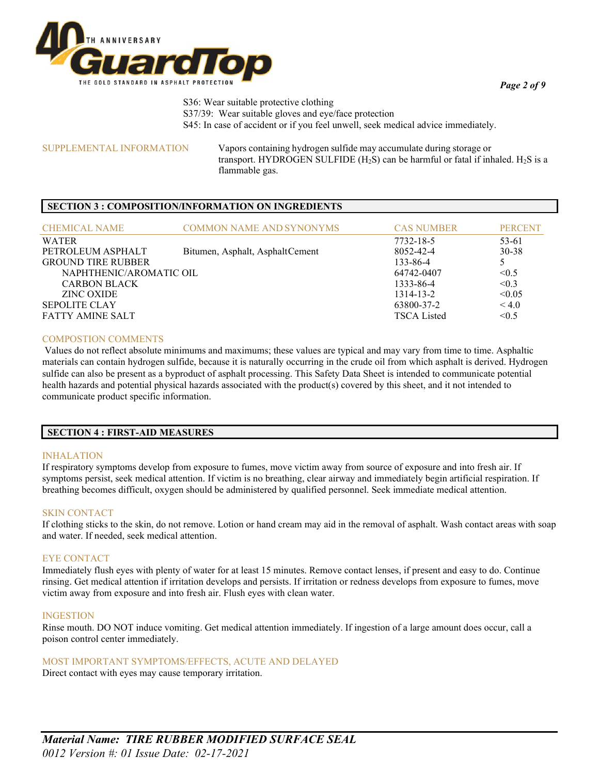

*Page 2 of 9*

S36: Wear suitable protective clothing S37/39: Wear suitable gloves and eye/face protection S45: In case of accident or if you feel unwell, seek medical advice immediately.

SUPPLEMENTAL INFORMATION Vapors containing hydrogen sulfide may accumulate during storage or transport. HYDROGEN SULFIDE (H<sub>2</sub>S) can be harmful or fatal if inhaled. H<sub>2</sub>S is a flammable gas.

## **SECTION 3 : COMPOSITION/INFORMATION ON INGREDIENTS**

| <b>CHEMICAL NAME</b>      | <b>COMMON NAME AND SYNONYMS</b> | <b>CAS NUMBER</b>  | <b>PERCENT</b> |
|---------------------------|---------------------------------|--------------------|----------------|
| WATER                     |                                 | 7732-18-5          | 53-61          |
| PETROLEUM ASPHALT         | Bitumen, Asphalt, AsphaltCement | 8052-42-4          | $30 - 38$      |
| <b>GROUND TIRE RUBBER</b> |                                 | 133-86-4           |                |
| NAPHTHENIC/AROMATIC OIL   |                                 | 64742-0407         | < 0.5          |
| <b>CARBON BLACK</b>       |                                 | 1333-86-4          | < 0.3          |
| ZINC OXIDE                |                                 | $1314 - 13 - 2$    | < 0.05         |
| <b>SEPOLITE CLAY</b>      |                                 | 63800-37-2         | < 4.0          |
| FATTY AMINE SALT          |                                 | <b>TSCA Listed</b> | < 0.5          |

## COMPOSTION COMMENTS

Values do not reflect absolute minimums and maximums; these values are typical and may vary from time to time. Asphaltic materials can contain hydrogen sulfide, because it is naturally occurring in the crude oil from which asphalt is derived. Hydrogen sulfide can also be present as a byproduct of asphalt processing. This Safety Data Sheet is intended to communicate potential health hazards and potential physical hazards associated with the product(s) covered by this sheet, and it not intended to communicate product specific information.

## **SECTION 4 : FIRST-AID MEASURES**

## INHALATION

If respiratory symptoms develop from exposure to fumes, move victim away from source of exposure and into fresh air. If symptoms persist, seek medical attention. If victim is no breathing, clear airway and immediately begin artificial respiration. If breathing becomes difficult, oxygen should be administered by qualified personnel. Seek immediate medical attention.

## SKIN CONTACT

If clothing sticks to the skin, do not remove. Lotion or hand cream may aid in the removal of asphalt. Wash contact areas with soap and water. If needed, seek medical attention.

#### EYE CONTACT

Immediately flush eyes with plenty of water for at least 15 minutes. Remove contact lenses, if present and easy to do. Continue rinsing. Get medical attention if irritation develops and persists. If irritation or redness develops from exposure to fumes, move victim away from exposure and into fresh air. Flush eyes with clean water.

#### INGESTION

Rinse mouth. DO NOT induce vomiting. Get medical attention immediately. If ingestion of a large amount does occur, call a poison control center immediately.

MOST IMPORTANT SYMPTOMS/EFFECTS, ACUTE AND DELAYED

Direct contact with eyes may cause temporary irritation.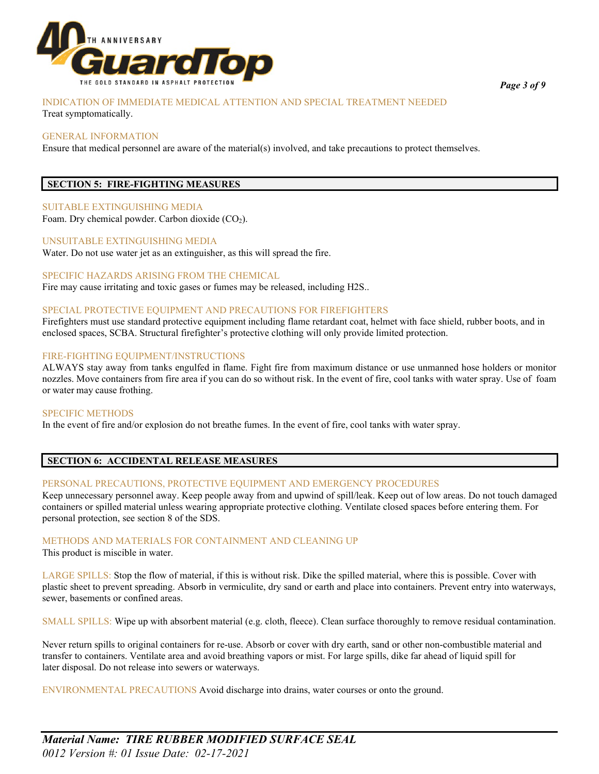

## INDICATION OF IMMEDIATE MEDICAL ATTENTION AND SPECIAL TREATMENT NEEDED

Treat symptomatically.

## GENERAL INFORMATION

Ensure that medical personnel are aware of the material(s) involved, and take precautions to protect themselves.

## **SECTION 5: FIRE-FIGHTING MEASURES**

## SUITABLE EXTINGUISHING MEDIA

Foam. Dry chemical powder. Carbon dioxide (CO2).

## UNSUITABLE EXTINGUISHING MEDIA

Water. Do not use water jet as an extinguisher, as this will spread the fire.

## SPECIFIC HAZARDS ARISING FROM THE CHEMICAL

Fire may cause irritating and toxic gases or fumes may be released, including H2S..

## SPECIAL PROTECTIVE EQUIPMENT AND PRECAUTIONS FOR FIREFIGHTERS

Firefighters must use standard protective equipment including flame retardant coat, helmet with face shield, rubber boots, and in enclosed spaces, SCBA. Structural firefighter's protective clothing will only provide limited protection.

## FIRE-FIGHTING EQUIPMENT/INSTRUCTIONS

ALWAYS stay away from tanks engulfed in flame. Fight fire from maximum distance or use unmanned hose holders or monitor nozzles. Move containers from fire area if you can do so without risk. In the event of fire, cool tanks with water spray. Use of foam or water may cause frothing.

#### SPECIFIC METHODS

In the event of fire and/or explosion do not breathe fumes. In the event of fire, cool tanks with water spray.

## **SECTION 6: ACCIDENTAL RELEASE MEASURES**

## PERSONAL PRECAUTIONS, PROTECTIVE EQUIPMENT AND EMERGENCY PROCEDURES

Keep unnecessary personnel away. Keep people away from and upwind of spill/leak. Keep out of low areas. Do not touch damaged containers or spilled material unless wearing appropriate protective clothing. Ventilate closed spaces before entering them. For personal protection, see section 8 of the SDS.

#### METHODS AND MATERIALS FOR CONTAINMENT AND CLEANING UP

This product is miscible in water.

LARGE SPILLS: Stop the flow of material, if this is without risk. Dike the spilled material, where this is possible. Cover with plastic sheet to prevent spreading. Absorb in vermiculite, dry sand or earth and place into containers. Prevent entry into waterways, sewer, basements or confined areas.

SMALL SPILLS: Wipe up with absorbent material (e.g. cloth, fleece). Clean surface thoroughly to remove residual contamination.

Never return spills to original containers for re-use. Absorb or cover with dry earth, sand or other non-combustible material and transfer to containers. Ventilate area and avoid breathing vapors or mist. For large spills, dike far ahead of liquid spill for later disposal. Do not release into sewers or waterways.

ENVIRONMENTAL PRECAUTIONS Avoid discharge into drains, water courses or onto the ground.

*Page 3 of 9*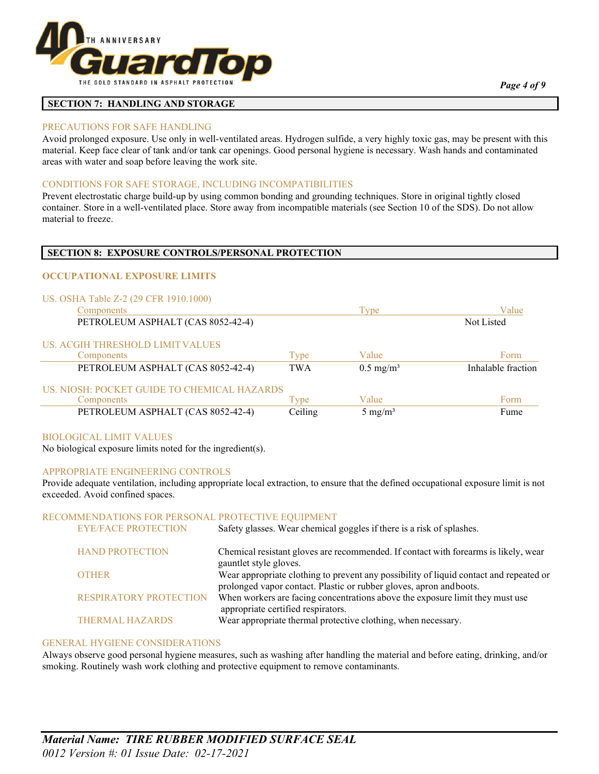

## **SECTION 7: HANDLING AND STORAGE**

#### PRECAUTIONS FOR SAFE HANDLING

Avoid prolonged exposure. Use only in well-ventilated areas. Hydrogen sulfide, a very highly toxic gas, may be present with this material. Keep face clear of tank and/or tank car openings. Good personal hygiene is necessary. Wash hands and contaminated areas with water and soap before leaving the work site.

#### CONDITIONS FOR SAFE STORAGE, INCLUDING INCOMPATIBILITIES

Prevent electrostatic charge build-up by using common bonding and grounding techniques. Store in original tightly closed container. Store in a well-ventilated place. Store away from incompatible materials (see Section 10 of the SDS). Do not allow material to freeze.

#### **SECTION 8: EXPOSURE CONTROLS/PERSONAL PROTECTION**

#### **OCCUPATIONAL EXPOSURE LIMITS**

#### US. OSHA Table Z-2 (29 CFR 1910.1000)

| Components                                  |            | Type                 | Value              |
|---------------------------------------------|------------|----------------------|--------------------|
| PETROLEUM ASPHALT (CAS 8052-42-4)           |            |                      | Not Listed         |
| US. ACGIH THRESHOLD LIMIT VALUES            |            |                      |                    |
| Components                                  | Type       | Value                | Form               |
| PETROLEUM ASPHALT (CAS 8052-42-4)           | <b>TWA</b> | $0.5 \text{ mg/m}^3$ | Inhalable fraction |
| US. NIOSH: POCKET GUIDE TO CHEMICAL HAZARDS |            |                      |                    |
| Components                                  | Type       | Value                | Form               |
| PETROLEUM ASPHALT (CAS 8052-42-4)           | Ceiling    | $5 \text{ mg/m}^3$   | Fume               |

#### BIOLOGICAL LIMIT VALUES

No biological exposure limits noted for the ingredient(s).

#### APPROPRIATE ENGINEERING CONTROLS

Provide adequate ventilation, including appropriate local extraction, to ensure that the defined occupational exposure limit is not exceeded. Avoid confined spaces.

#### RECOMMENDATIONS FOR PERSONAL PROTECTIVE EQUIPMENT

| <b>HAND PROTECTION</b><br>Chemical resistant gloves are recommended. If contact with forearms is likely, wear                                                                 | Safety glasses. Wear chemical goggles if there is a risk of splashes. |
|-------------------------------------------------------------------------------------------------------------------------------------------------------------------------------|-----------------------------------------------------------------------|
| gauntlet style gloves.                                                                                                                                                        |                                                                       |
| Wear appropriate clothing to prevent any possibility of liquid contact and repeated or<br><b>OTHER</b><br>prolonged vapor contact. Plastic or rubber gloves, apron and boots. |                                                                       |
| When workers are facing concentrations above the exposure limit they must use<br><b>RESPIRATORY PROTECTION</b><br>appropriate certified respirators.                          |                                                                       |
| Wear appropriate thermal protective clothing, when necessary.<br>THERMAL HAZARDS                                                                                              |                                                                       |

#### GENERAL HYGIENE CONSIDERATIONS

Always observe good personal hygiene measures, such as washing after handling the material and before eating, drinking, and/or smoking. Routinely wash work clothing and protective equipment to remove contaminants.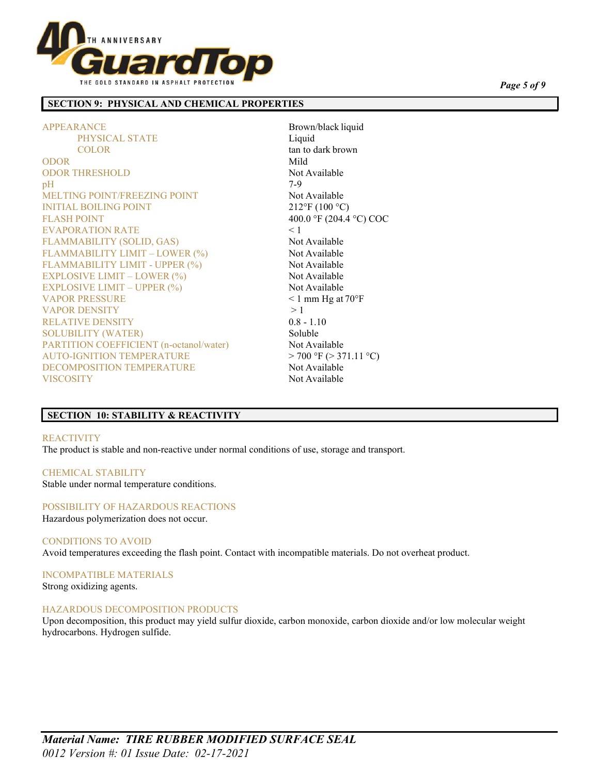

## **SECTION 9: PHYSICAL AND CHEMICAL PROPERTIES**

APPEARANCE Brown/black liquid PHYSICAL STATE Liquid COLOR tan to dark brown ODOR Mild ODOR THRESHOLD Not Available  $pH$  7-9 MELTING POINT/FREEZING POINT Not Available INITIAL BOILING POINT 212°F (100 °C) FLASH POINT 400.0 °F (204.4 °C) COC EVAPORATION RATE < 1 FLAMMABILITY (SOLID, GAS) Not Available FLAMMABILITY LIMIT – LOWER (%) Not Available FLAMMABILITY LIMIT - UPPER (%) Not Available EXPLOSIVE LIMIT – LOWER  $(\%)$  Not Available  $EXPLOSIVE LIMIT – UPPER (%)$  Not Available VAPOR PRESSURE  $\leq 1$  mm Hg at 70°F VAPOR DENSITY > 1 RELATIVE DENSITY 0.8 - 1.10 SOLUBILITY (WATER) Soluble PARTITION COEFFICIENT (n-octanol/water) Not Available AUTO-IGNITION TEMPERATURE  $> 700 \text{ }^{\circ}\text{F}$  ( $> 371.11 \text{ }^{\circ}\text{C}$ ) DECOMPOSITION TEMPERATURE Not Available VISCOSITY Not Available

## **SECTION 10: STABILITY & REACTIVITY**

#### REACTIVITY

The product is stable and non-reactive under normal conditions of use, storage and transport.

### CHEMICAL STABILITY

Stable under normal temperature conditions.

## POSSIBILITY OF HAZARDOUS REACTIONS

Hazardous polymerization does not occur.

#### CONDITIONS TO AVOID

Avoid temperatures exceeding the flash point. Contact with incompatible materials. Do not overheat product.

INCOMPATIBLE MATERIALS Strong oxidizing agents.

#### HAZARDOUS DECOMPOSITION PRODUCTS

Upon decomposition, this product may yield sulfur dioxide, carbon monoxide, carbon dioxide and/or low molecular weight hydrocarbons. Hydrogen sulfide.

*Page 5 of 9*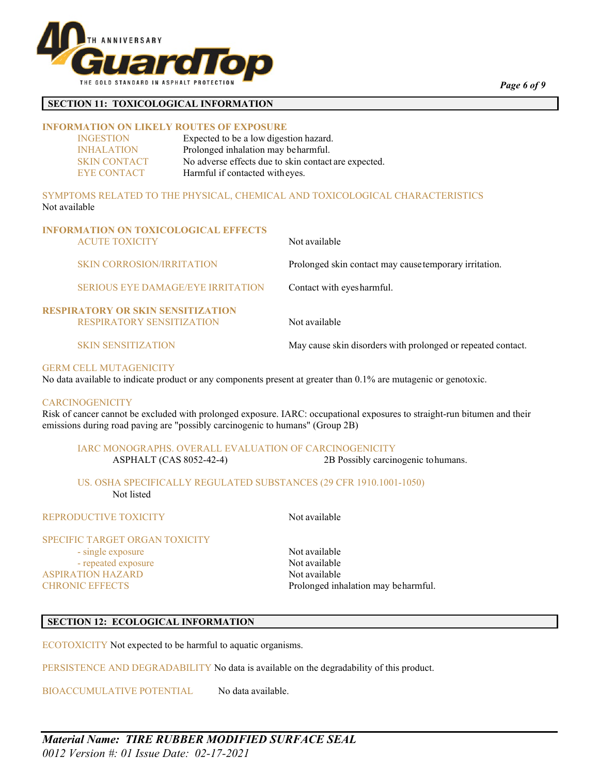

## **SECTION 11: TOXICOLOGICAL INFORMATION**

## **INFORMATION ON LIKELY ROUTES OF EXPOSURE**

| <b>INGESTION</b>    | Expected to be a low digestion hazard.               |
|---------------------|------------------------------------------------------|
| <b>INHALATION</b>   | Prolonged inhalation may beharmful.                  |
| <b>SKIN CONTACT</b> | No adverse effects due to skin contact are expected. |
| EYE CONTACT         | Harmful if contacted with eyes.                      |

SYMPTOMS RELATED TO THE PHYSICAL, CHEMICAL AND TOXICOLOGICAL CHARACTERISTICS Not available

| <b>INFORMATION ON TOXICOLOGICAL EFFECTS</b><br><b>ACUTE TOXICITY</b>         | Not available                                                |
|------------------------------------------------------------------------------|--------------------------------------------------------------|
| <b>SKIN CORROSION/IRRITATION</b>                                             | Prolonged skin contact may cause temporary irritation.       |
| <b>SERIOUS EYE DAMAGE/EYE IRRITATION</b>                                     | Contact with eyes harmful.                                   |
| <b>RESPIRATORY OR SKIN SENSITIZATION</b><br><b>RESPIRATORY SENSITIZATION</b> | Not available                                                |
| <b>SKIN SENSITIZATION</b>                                                    | May cause skin disorders with prolonged or repeated contact. |

## GERM CELL MUTAGENICITY

No data available to indicate product or any components present at greater than 0.1% are mutagenic or genotoxic.

#### **CARCINOGENICITY**

Risk of cancer cannot be excluded with prolonged exposure. IARC: occupational exposures to straight-run bitumen and their emissions during road paving are "possibly carcinogenic to humans" (Group 2B)

## IARC MONOGRAPHS. OVERALL EVALUATION OF CARCINOGENICITY

ASPHALT (CAS 8052-42-4) 2B Possibly carcinogenic tohumans.

## US. OSHA SPECIFICALLY REGULATED SUBSTANCES (29 CFR 1910.1001-1050) Not listed

## REPRODUCTIVE TOXICITY Not available

#### SPECIFIC TARGET ORGAN TOXICITY

- single exposure Not available - repeated exposure Not available ASPIRATION HAZARD Not available

CHRONIC EFFECTS Prolonged inhalation may beharmful.

## **SECTION 12: ECOLOGICAL INFORMATION**

ECOTOXICITY Not expected to be harmful to aquatic organisms.

PERSISTENCE AND DEGRADABILITY No data is available on the degradability of this product.

BIOACCUMULATIVE POTENTIAL No data available.

*Page 6 of 9*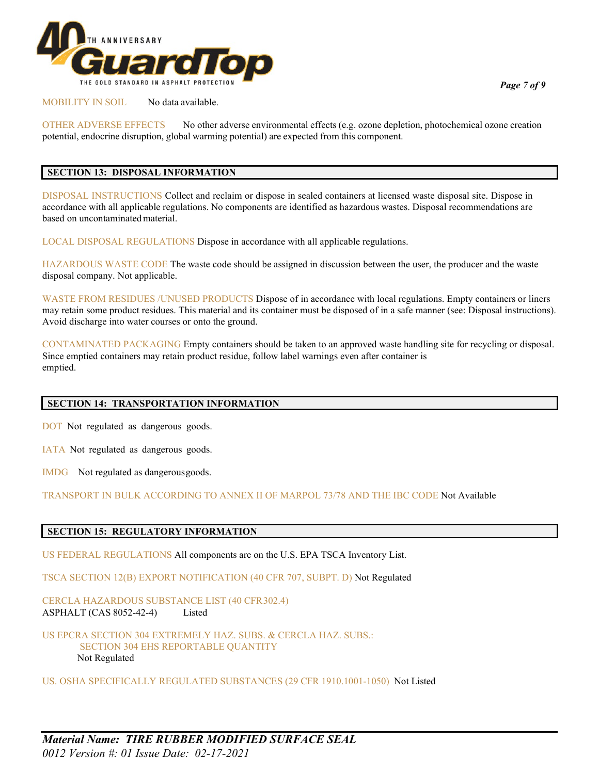

## MOBILITY IN SOIL No data available.

OTHER ADVERSE EFFECTS No other adverse environmental effects (e.g. ozone depletion, photochemical ozone creation potential, endocrine disruption, global warming potential) are expected from this component.

## **SECTION 13: DISPOSAL INFORMATION**

DISPOSAL INSTRUCTIONS Collect and reclaim or dispose in sealed containers at licensed waste disposal site. Dispose in accordance with all applicable regulations. No components are identified as hazardous wastes. Disposal recommendations are based on uncontaminatedmaterial.

LOCAL DISPOSAL REGULATIONS Dispose in accordance with all applicable regulations.

HAZARDOUS WASTE CODE The waste code should be assigned in discussion between the user, the producer and the waste disposal company. Not applicable.

WASTE FROM RESIDUES /UNUSED PRODUCTS Dispose of in accordance with local regulations. Empty containers or liners may retain some product residues. This material and its container must be disposed of in a safe manner (see: Disposal instructions). Avoid discharge into water courses or onto the ground.

CONTAMINATED PACKAGING Empty containers should be taken to an approved waste handling site for recycling or disposal. Since emptied containers may retain product residue, follow label warnings even after container is emptied.

## **SECTION 14: TRANSPORTATION INFORMATION**

DOT Not regulated as dangerous goods.

IATA Not regulated as dangerous goods.

IMDG Not regulated as dangerousgoods.

TRANSPORT IN BULK ACCORDING TO ANNEX II OF MARPOL 73/78 AND THE IBC CODE Not Available

## **SECTION 15: REGULATORY INFORMATION**

US FEDERAL REGULATIONS All components are on the U.S. EPA TSCA Inventory List.

TSCA SECTION 12(B) EXPORT NOTIFICATION (40 CFR 707, SUBPT. D) Not Regulated

CERCLA HAZARDOUS SUBSTANCE LIST (40 CFR302.4) ASPHALT (CAS 8052-42-4) Listed

US EPCRA SECTION 304 EXTREMELY HAZ. SUBS. & CERCLA HAZ. SUBS.: SECTION 304 EHS REPORTABLE QUANTITY Not Regulated

US. OSHA SPECIFICALLY REGULATED SUBSTANCES (29 CFR 1910.1001-1050) Not Listed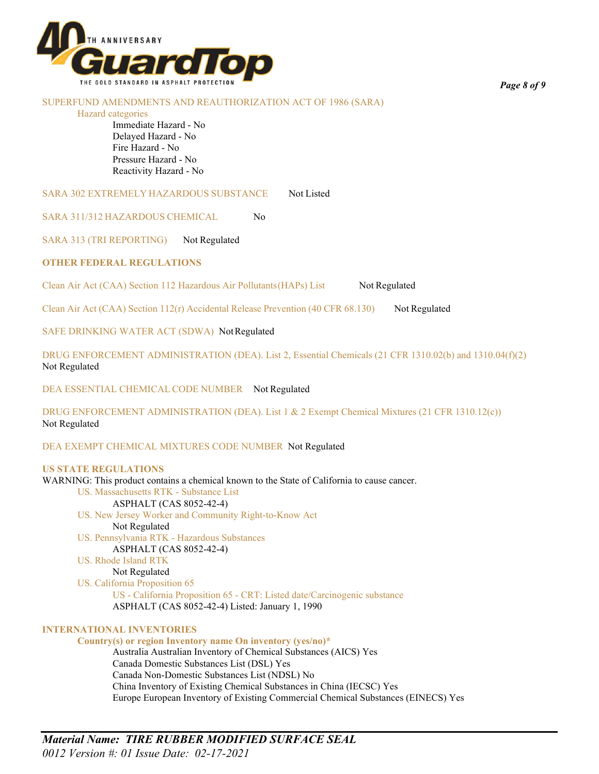

#### SUPERFUND AMENDMENTS AND REAUTHORIZATION ACT OF 1986 (SARA)

#### Hazard categories

Immediate Hazard - No Delayed Hazard - No Fire Hazard - No Pressure Hazard - No Reactivity Hazard - No

SARA 302 EXTREMELY HAZARDOUS SUBSTANCE Not Listed

SARA 311/312 HAZARDOUS CHEMICAL No

SARA 313 (TRI REPORTING) Not Regulated

## **OTHER FEDERAL REGULATIONS**

Clean Air Act (CAA) Section 112 Hazardous Air Pollutants (HAPs) List Not Regulated

Clean Air Act (CAA) Section  $112(r)$  Accidental Release Prevention (40 CFR 68.130) Not Regulated

SAFE DRINKING WATER ACT (SDWA) NotRegulated

DRUG ENFORCEMENT ADMINISTRATION (DEA). List 2, Essential Chemicals (21 CFR 1310.02(b) and 1310.04(f)(2) Not Regulated

DEA ESSENTIAL CHEMICAL CODE NUMBER Not Regulated

DRUG ENFORCEMENT ADMINISTRATION (DEA). List 1 & 2 Exempt Chemical Mixtures (21 CFR 1310.12(c)) Not Regulated

DEA EXEMPT CHEMICAL MIXTURES CODE NUMBER Not Regulated

#### **US STATE REGULATIONS**

WARNING: This product contains a chemical known to the State of California to cause cancer. US. Massachusetts RTK - Substance List ASPHALT (CAS 8052-42-4) US. New Jersey Worker and Community Right-to-Know Act Not Regulated US. Pennsylvania RTK - Hazardous Substances ASPHALT (CAS 8052-42-4) US. Rhode Island RTK Not Regulated US. California Proposition 65 US - California Proposition 65 - CRT: Listed date/Carcinogenic substance ASPHALT (CAS 8052-42-4) Listed: January 1, 1990 **INTERNATIONAL INVENTORIES Country(s) or region Inventory name On inventory (yes/no)\***

Australia Australian Inventory of Chemical Substances (AICS) Yes Canada Domestic Substances List (DSL) Yes Canada Non-Domestic Substances List (NDSL) No China Inventory of Existing Chemical Substances in China (IECSC) Yes Europe European Inventory of Existing Commercial Chemical Substances (EINECS) Yes

*Material Name: TIRE RUBBER MODIFIED SURFACE SEAL 0012 Version #: 01 Issue Date: 02-17-2021*

*Page 8 of 9*